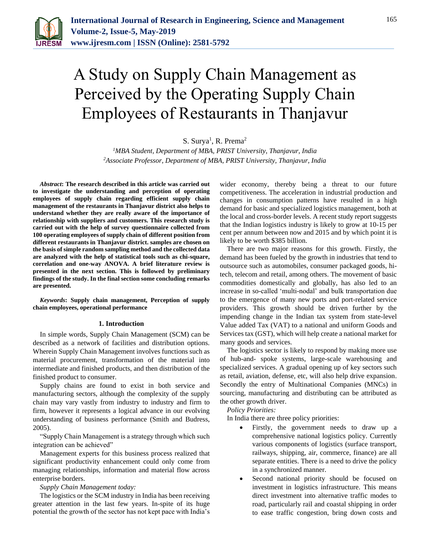

# A Study on Supply Chain Management as Perceived by the Operating Supply Chain Employees of Restaurants in Thanjavur

S. Surya<sup>1</sup>, R. Prema<sup>2</sup>

*<sup>1</sup>MBA Student, Department of MBA, PRIST University, Thanjavur, India 2Associate Professor, Department of MBA, PRIST University, Thanjavur, India*

*Abstract***: The research described in this article was carried out to investigate the understanding and perception of operating employees of supply chain regarding efficient supply chain management of the restaurants in Thanjavur district also helps to understand whether they are really aware of the importance of relationship with suppliers and customers. This research study is carried out with the help of survey questionnaire collected from 100 operating employees of supply chain of different position from different restaurants in Thanjavur district. samples are chosen on the basis of simple random sampling method and the collected data are analyzed with the help of statistical tools such as chi-square, correlation and one-way ANOVA. A brief literature review is presented in the next section. This is followed by preliminary findings of the study. In the final section some concluding remarks are presented.**

*Keywords***: Supply chain management, Perception of supply chain employees, operational performance**

#### **1. Introduction**

In simple words, Supply Chain Management (SCM) can be described as a network of facilities and distribution options. Wherein Supply Chain Management involves functions such as material procurement, transformation of the material into intermediate and finished products, and then distribution of the finished product to consumer.

Supply chains are found to exist in both service and manufacturing sectors, although the complexity of the supply chain may vary vastly from industry to industry and firm to firm, however it represents a logical advance in our evolving understanding of business performance (Smith and Budress, 2005).

"Supply Chain Management is a strategy through which such integration can be achieved"

Management experts for this business process realized that significant productivity enhancement could only come from managing relationships, information and material flow across enterprise borders.

*Supply Chain Management today:*

The logistics or the SCM industry in India has been receiving greater attention in the last few years. In-spite of its huge potential the growth of the sector has not kept pace with India's wider economy, thereby being a threat to our future competitiveness. The acceleration in industrial production and changes in consumption patterns have resulted in a high demand for basic and specialized logistics management, both at the local and cross-border levels. A recent study report suggests that the Indian logistics industry is likely to grow at 10-15 per cent per annum between now and 2015 and by which point it is likely to be worth \$385 billion.

There are two major reasons for this growth. Firstly, the demand has been fueled by the growth in industries that tend to outsource such as automobiles, consumer packaged goods, hitech, telecom and retail, among others. The movement of basic commodities domestically and globally, has also led to an increase in so-called 'multi-nodal' and bulk transportation due to the emergence of many new ports and port-related service providers. This growth should be driven further by the impending change in the Indian tax system from state-level Value added Tax (VAT) to a national and uniform Goods and Services tax (GST), which will help create a national market for many goods and services.

The logistics sector is likely to respond by making more use of hub-and- spoke systems, large-scale warehousing and specialized services. A gradual opening up of key sectors such as retail, aviation, defense, etc, will also help drive expansion. Secondly the entry of Multinational Companies (MNCs) in sourcing, manufacturing and distributing can be attributed as the other growth driver.

*Policy Priorities:*

In India there are three policy priorities:

- Firstly, the government needs to draw up a comprehensive national logistics policy. Currently various components of logistics (surface transport, railways, shipping, air, commerce, finance) are all separate entities. There is a need to drive the policy in a synchronized manner.
- Second national priority should be focused on investment in logistics infrastructure. This means direct investment into alternative traffic modes to road, particularly rail and coastal shipping in order to ease traffic congestion, bring down costs and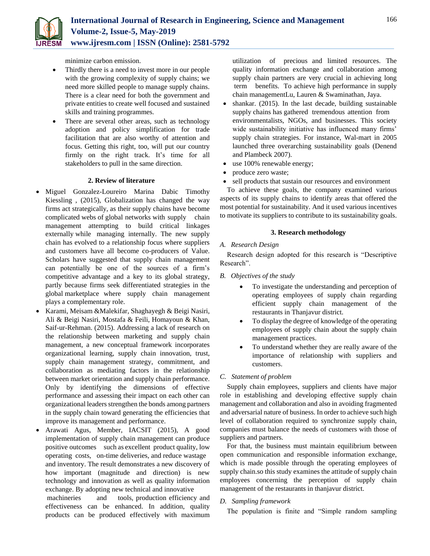

minimize carbon emission.

- Thirdly there is a need to invest more in our people with the growing complexity of supply chains; we need more skilled people to manage supply chains. There is a clear need for both the government and private entities to create well focused and sustained skills and training programmes.
- There are several other areas, such as technology adoption and policy simplification for trade facilitation that are also worthy of attention and focus. Getting this right, too, will put our country firmly on the right track. It's time for all stakeholders to pull in the same direction.

## **2. Review of literature**

- Miguel Gonzalez-Loureiro Marina Dabic Timothy Kiessling , (2015), Globalization has changed the way firms act strategically, as their supply chains have become complicated webs of global networks with supply chain management attempting to build critical linkages externally while managing internally. The new supply chain has evolved to a relationship focus where suppliers and customers have all become co-producers of Value. Scholars have suggested that supply chain management can potentially be one of the sources of a firm's competitive advantage and a key to its global strategy, partly because firms seek differentiated strategies in the global marketplace where supply chain management plays a complementary role.
- Karami, Meisam &Malekifar, Shaghayegh & Beigi Nasiri, Ali & Beigi Nasiri, Mostafa & Feili, Homayoun & Khan, Saif-ur-Rehman. (2015). Addressing a lack of research on the relationship between marketing and supply chain management, a new conceptual framework incorporates organizational learning, supply chain innovation, trust, supply chain management strategy, commitment, and collaboration as mediating factors in the relationship between market orientation and supply chain performance. Only by identifying the dimensions of effective performance and assessing their impact on each other can organizational leaders strengthen the bonds among partners in the supply chain toward generating the efficiencies that improve its management and performance.
- Arawati Agus, Member, IACSIT (2015), A good implementation of supply chain management can produce positive outcomes such as excellent product quality, low operating costs, on-time deliveries, and reduce wastage and inventory. The result demonstrates a new discovery of how important (magnitude and direction) is new technology and innovation as well as quality information exchange. By adopting new technical and innovative machineries and tools, production efficiency and

effectiveness can be enhanced. In addition, quality products can be produced effectively with maximum utilization of precious and limited resources. The quality information exchange and collaboration among supply chain partners are very crucial in achieving long term benefits. To achieve high performance in supply chain managementLu, Lauren & Swaminathan, Jaya.

- shankar. (2015). In the last decade, building sustainable supply chains has gathered tremendous attention from environmentalists, NGOs, and businesses. This society wide sustainability initiative has influenced many firms' supply chain strategies. For instance, Wal-mart in 2005 launched three overarching sustainability goals (Denend and Plambeck 2007).
- use 100% renewable energy;
- produce zero waste;
- sell products that sustain our resources and environment

To achieve these goals, the company examined various aspects of its supply chains to identify areas that offered the most potential for sustainability. And it used various incentives to motivate its suppliers to contribute to its sustainability goals.

# **3. Research methodology**

# *A. Research Design*

Research design adopted for this research is "Descriptive Research".

- *B. Objectives of the study*
	- To investigate the understanding and perception of operating employees of supply chain regarding efficient supply chain management of the restaurants in Thanjavur district.
	- To display the degree of knowledge of the operating employees of supply chain about the supply chain management practices.
	- To understand whether they are really aware of the importance of relationship with suppliers and customers.

# *C. Statement of problem*

Supply chain employees, suppliers and clients have major role in establishing and developing effective supply chain management and collaboration and also in avoiding fragmented and adversarial nature of business. In order to achieve such high level of collaboration required to synchronize supply chain, companies must balance the needs of customers with those of suppliers and partners.

For that, the business must maintain equilibrium between open communication and responsible information exchange, which is made possible through the operating employees of supply chain.so this study examines the attitude of supply chain employees concerning the perception of supply chain management of the restaurants in thanjavur district.

# *D. Sampling framework*

The population is finite and "Simple random sampling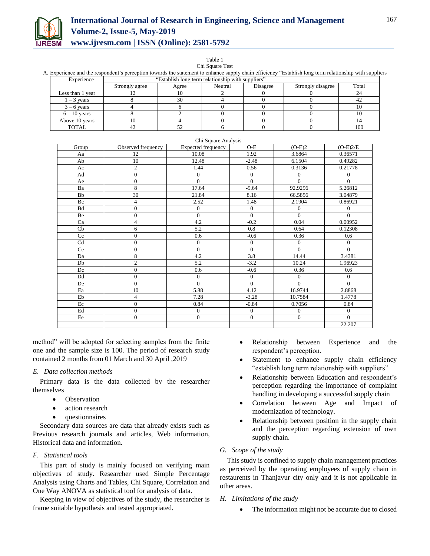

# **International Journal of Research in Engineering, Science and Management Volume-2, Issue-5, May-2019 www.ijresm.com | ISSN (Online): 2581-5792**

Table 1

| A. Experience and the respondent's perception towards the statement to enhance supply chain efficiency "Establish long term relationship with supplie |                                                   |       |          |                   |       |  |  |
|-------------------------------------------------------------------------------------------------------------------------------------------------------|---------------------------------------------------|-------|----------|-------------------|-------|--|--|
| Experience                                                                                                                                            | "Establish long term relationship with suppliers" |       |          |                   |       |  |  |
|                                                                                                                                                       | Strongly agree                                    | Agree | Disagree | Strongly disagree | Total |  |  |
| Less than 1 vear                                                                                                                                      |                                                   |       |          |                   |       |  |  |
| $-3$ vears                                                                                                                                            |                                                   |       |          |                   |       |  |  |
| $3 - 6$ vears                                                                                                                                         |                                                   |       |          |                   |       |  |  |
| $6 - 10$ vears                                                                                                                                        |                                                   |       |          |                   |       |  |  |
| Above 10 years                                                                                                                                        |                                                   |       |          |                   |       |  |  |

TOTAL  $\begin{array}{|c|c|c|c|c|c|c|c|} \hline \end{array}$  42  $\begin{array}{|c|c|c|c|c|} \hline \end{array}$  52  $\begin{array}{|c|c|c|c|c|} \hline \end{array}$  6  $\begin{array}{|c|c|c|c|} \hline \end{array}$  0  $\begin{array}{|c|c|c|c|c|} \hline \end{array}$  100

Chi Square Test A. Experience and the respondent's perception towards the statement to enhance supply chain efficiency "Establish long term relationship with suppliers

|           |                    | Chi Square Analysis       |              |                  |                  |
|-----------|--------------------|---------------------------|--------------|------------------|------------------|
| Group     | Observed frequency | <b>Expected frequency</b> | $O-E$        | $(O-E)2$         | $(O-E)2/E$       |
| Aa        | 12                 | 10.08                     | 1.92         | 3.6864           | 0.36571          |
| Ab        | 10                 | 12.48                     | $-2.48$      | 6.1504           | 0.49282          |
| Ac        | $\overline{c}$     | 1.44                      | 0.56         | 0.3136           | 0.21778          |
| Ad        | $\boldsymbol{0}$   | $\mathbf{0}$              | $\mathbf{0}$ | $\mathbf{0}$     | $\mathbf{0}$     |
| Ae        | $\mathbf{0}$       | $\overline{0}$            | $\Omega$     | $\Omega$         | $\theta$         |
| Ba        | 8                  | 17.64                     | $-9.64$      | 92.9296          | 5.26812          |
| <b>Bb</b> | 30                 | 21.84                     | 8.16         | 66.5856          | 3.04879          |
| Bc        | $\overline{4}$     | 2.52                      | 1.48         | 2.1904           | 0.86921          |
| <b>Bd</b> | $\mathbf{0}$       | $\mathbf{0}$              | $\theta$     | $\mathbf{0}$     | $\mathbf{0}$     |
| Be        | $\boldsymbol{0}$   | $\overline{0}$            | $\mathbf{0}$ | $\Omega$         | $\Omega$         |
| Ca        | $\overline{4}$     | 4.2                       | $-0.2$       | 0.04             | 0.00952          |
| Cb        | 6                  | 5.2                       | 0.8          | 0.64             | 0.12308          |
| Cc        | $\boldsymbol{0}$   | 0.6                       | $-0.6$       | 0.36             | 0.6              |
| Cd        | $\boldsymbol{0}$   | $\boldsymbol{0}$          | $\mathbf{0}$ | $\boldsymbol{0}$ | $\boldsymbol{0}$ |
| Ce        | $\overline{0}$     | $\overline{0}$            | $\theta$     | $\Omega$         | $\overline{0}$   |
| Da        | 8                  | 4.2                       | 3.8          | 14.44            | 3.4381           |
| Db        | $\overline{c}$     | 5.2                       | $-3.2$       | 10.24            | 1.96923          |
| Dc        | $\overline{0}$     | 0.6                       | $-0.6$       | 0.36             | 0.6              |
| Dd        | $\overline{0}$     | $\mathbf{0}$              | $\theta$     | $\mathbf{0}$     | $\mathbf{0}$     |
| De        | $\mathbf{0}$       | $\theta$                  | $\theta$     | $\theta$         | $\theta$         |
| Ea        | 10                 | 5.88                      | 4.12         | 16.9744          | 2.8868           |
| Eb        | $\overline{4}$     | 7.28                      | $-3.28$      | 10.7584          | 1.4778           |
| Ec        | $\overline{0}$     | 0.84                      | $-0.84$      | 0.7056           | 0.84             |
| Ed        | $\overline{0}$     | $\mathbf{0}$              | $\theta$     | $\mathbf{0}$     | $\mathbf{0}$     |
| Ee        | $\boldsymbol{0}$   | $\boldsymbol{0}$          | $\mathbf{0}$ | $\boldsymbol{0}$ | $\mathbf{0}$     |
|           |                    |                           |              |                  | 22.207           |

method" will be adopted for selecting samples from the finite one and the sample size is 100. The period of research study contained 2 months from 01 March and 30 April ,2019

## *E. Data collection methods*

Primary data is the data collected by the researcher themselves

- Observation
- action research
- questionnaires

Secondary data sources are data that already exists such as Previous research journals and articles, Web information, Historical data and information.

# *F. Statistical tools*

This part of study is mainly focused on verifying main objectives of study. Researcher used Simple Percentage Analysis using Charts and Tables, Chi Square, Correlation and One Way ANOVA as statistical tool for analysis of data.

Keeping in view of objectives of the study, the researcher is frame suitable hypothesis and tested appropriated.

- Relationship between Experience and the respondent's perception.
- Statement to enhance supply chain efficiency "establish long term relationship with suppliers"
- Relationship between Education and respondent's perception regarding the importance of complaint handling in developing a successful supply chain
- Correlation between Age and Impact of modernization of technology.
- Relationship between position in the supply chain and the perception regarding extension of own supply chain.

# *G. Scope of the study*

This study is confined to supply chain management practices as perceived by the operating employees of supply chain in restaurents in Thanjavur city only and it is not applicable in other areas.

## *H. Limitations of the study*

The information might not be accurate due to closed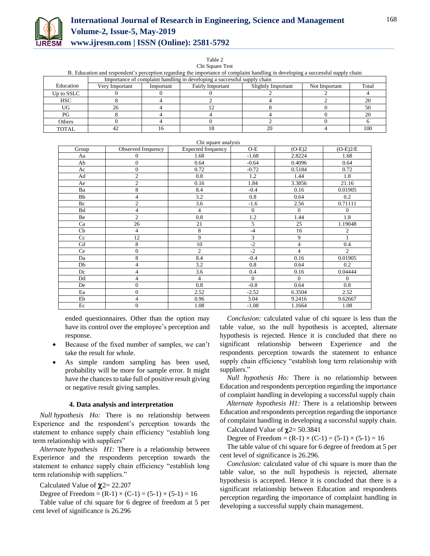

# **International Journal of Research in Engineering, Science and Management Volume-2, Issue-5, May-2019 www.ijresm.com | ISSN (Online): 2581-5792**

Table 2 Chi Square Test

| B. Education and respondent's perception regarding the importance of complaint handling in developing a successful supply chain |                                                                          |  |  |  |  |     |  |  |  |
|---------------------------------------------------------------------------------------------------------------------------------|--------------------------------------------------------------------------|--|--|--|--|-----|--|--|--|
|                                                                                                                                 | Importance of complaint handling in developing a successful supply chain |  |  |  |  |     |  |  |  |
| Education<br>Slightly Important<br><b>Fairly Important</b><br>Not Important<br>Verv Important<br>Important                      |                                                                          |  |  |  |  |     |  |  |  |
| Up to SSLC                                                                                                                      |                                                                          |  |  |  |  |     |  |  |  |
| <b>HSC</b>                                                                                                                      |                                                                          |  |  |  |  |     |  |  |  |
| UG                                                                                                                              |                                                                          |  |  |  |  |     |  |  |  |
| PG                                                                                                                              |                                                                          |  |  |  |  |     |  |  |  |
| Others                                                                                                                          |                                                                          |  |  |  |  |     |  |  |  |
| <b>TOTAL</b>                                                                                                                    |                                                                          |  |  |  |  | 100 |  |  |  |

| Chi square analysis |                    |                           |              |                |                |  |  |  |
|---------------------|--------------------|---------------------------|--------------|----------------|----------------|--|--|--|
| Group               | Observed frequency | <b>Expected frequency</b> | $O-E$        | $(O-E)2$       | $(O-E)2/E$     |  |  |  |
| Aa                  | $\overline{0}$     | 1.68                      | $-1.68$      | 2.8224         | 1.68           |  |  |  |
| Ab                  | $\overline{0}$     | 0.64                      | $-0.64$      | 0.4096         | 0.64           |  |  |  |
| Ac                  | $\mathbf{0}$       | 0.72                      | $-0.72$      | 0.5184         | 0.72           |  |  |  |
| Ad                  | $\overline{c}$     | 0.8                       | 1.2          | 1.44           | 1.8            |  |  |  |
| Ae                  | $\overline{c}$     | 0.16                      | 1.84         | 3.3856         | 21.16          |  |  |  |
| Ba                  | 8                  | 8.4                       | $-0.4$       | 0.16           | 0.01905        |  |  |  |
| Bb                  | 4                  | 3.2                       | 0.8          | 0.64           | 0.2            |  |  |  |
| Bc                  | $\overline{c}$     | 3.6                       | $-1.6$       | 2.56           | 0.71111        |  |  |  |
| Bd                  | 4                  | 4                         | $\mathbf{0}$ | $\mathbf{0}$   | $\Omega$       |  |  |  |
| Be                  | $\overline{2}$     | 0.8                       | 1.2          | 1.44           | 1.8            |  |  |  |
| Ca                  | 26                 | 21                        | 5            | 25             | 1.19048        |  |  |  |
| Cb                  | $\overline{4}$     | 8                         | $-4$         | 16             | $\overline{c}$ |  |  |  |
| Cc                  | 12                 | 9                         | 3            | 9              |                |  |  |  |
| Cd                  | 8                  | 10                        | $-2$         | $\overline{4}$ | 0.4            |  |  |  |
| Ce                  | $\overline{0}$     | $\overline{2}$            | $-2$         | $\overline{4}$ | $\overline{2}$ |  |  |  |
| Da                  | 8                  | 8.4                       | $-0.4$       | 0.16           | 0.01905        |  |  |  |
| Db                  | $\overline{4}$     | 3.2                       | 0.8          | 0.64           | 0.2            |  |  |  |
| Dc                  | 4                  | 3.6                       | 0.4          | 0.16           | 0.04444        |  |  |  |
| Dd                  | $\overline{4}$     | $\overline{4}$            | $\Omega$     | $\theta$       | $\Omega$       |  |  |  |
| De                  | $\overline{0}$     | 0.8                       | $-0.8$       | 0.64           | 0.8            |  |  |  |
| Ea                  | $\overline{0}$     | 2.52                      | $-2.52$      | 6.3504         | 2.52           |  |  |  |
| Eb                  | 4                  | 0.96                      | 3.04         | 9.2416         | 9.62667        |  |  |  |
| Ec                  | $\overline{0}$     | 1.08                      | $-1.08$      | 1.1664         | 1.08           |  |  |  |

ended questionnaires. Other than the option may have its control over the employee's perception and response.

- Because of the fixed number of samples, we can't take the result for whole.
- As simple random sampling has been used, probability will be more for sample error. It might have the chances to take full of positive result giving or negative result giving samples.

#### **4. Data analysis and interpretation**

*Null hypothesis Ho:* There is no relationship between Experience and the respondent's perception towards the statement to enhance supply chain efficiency "establish long term relationship with suppliers"

*Alternate hypothesis H1:* There is a relationship between Experience and the respondents perception towards the statement to enhance supply chain efficiency "establish long term relationship with suppliers."

Calculated Value of  $\chi$ 2= 22.207

Degree of Freedom =  $(R-1) \times (C-1) = (5-1) \times (5-1) = 16$ 

Table value of chi square for 6 degree of freedom at 5 per cent level of significance is 26.296

*Conclusion:* calculated value of chi square is less than the table value, so the null hypothesis is accepted, alternate hypothesis is rejected. Hence it is concluded that there no significant relationship between Experience and the respondents perception towards the statement to enhance supply chain efficiency "establish long term relationship with suppliers."

*Null hypothesis Ho:* There is no relationship between Education and respondents perception regarding the importance of complaint handling in developing a successful supply chain

*Alternate hypothesis H1:* There is a relationship between Education and respondents perception regarding the importance of complaint handling in developing a successful supply chain.

Calculated Value of  $\gamma$ 2= 50.3841

Degree of Freedom =  $(R-1) \times (C-1) = (5-1) \times (5-1) = 16$ 

The table value of chi square for 6 degree of freedom at 5 per cent level of significance is 26.296.

*Conclusion:* calculated value of chi square is more than the table value, so the null hypothesis is rejected, alternate hypothesis is accepted. Hence it is concluded that there is a significant relationship between Education and respondents perception regarding the importance of complaint handling in developing a successful supply chain management.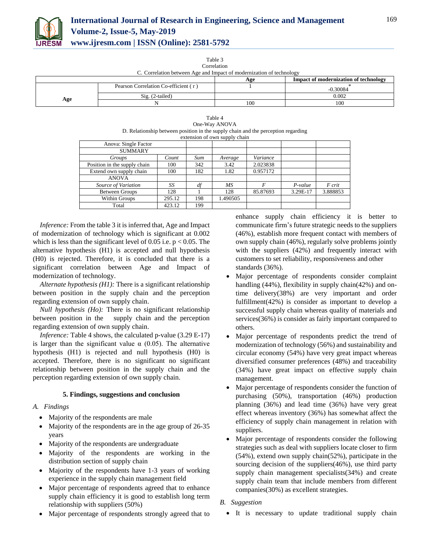

Table 3 Correlation

| COLIGIATION                                                          |  |  |  |  |  |  |  |  |
|----------------------------------------------------------------------|--|--|--|--|--|--|--|--|
| C. Correlation between Age and Impact of modernization of technology |  |  |  |  |  |  |  |  |

|     |                                      | Age | <b>Impact of modernization of technology</b> |
|-----|--------------------------------------|-----|----------------------------------------------|
|     | Pearson Correlation Co-efficient (r) |     | ).30084                                      |
|     | $\text{Si}$ g. (2-tailed)            |     | 0.002                                        |
| Age |                                      | 100 | 100                                          |

| Table 4                                                                           |
|-----------------------------------------------------------------------------------|
| One-Way ANOVA                                                                     |
| D. Relationship between position in the supply chain and the perception regarding |
| extension of own supply chain                                                     |

|                              |        |     | $\alpha$ calculation of own supply ended |          |           |          |
|------------------------------|--------|-----|------------------------------------------|----------|-----------|----------|
| Anova: Single Factor         |        |     |                                          |          |           |          |
| <b>SUMMARY</b>               |        |     |                                          |          |           |          |
| Groups                       | Count  | Sum | Average                                  | Variance |           |          |
| Position in the supply chain | 100    | 342 | 3.42                                     | 2.023838 |           |          |
| Extend own supply chain      | 100    | 182 | 1.82                                     | 0.957172 |           |          |
| <b>ANOVA</b>                 |        |     |                                          |          |           |          |
| Source of Variation          | SS     | df  | МS                                       |          | $P-value$ | F crit   |
| <b>Between Groups</b>        | 128    |     | 128                                      | 85.87693 | 3.29E-17  | 3.888853 |
| Within Groups                | 295.12 | 198 | 1.490505                                 |          |           |          |
| Total                        | 423.12 | 199 |                                          |          |           |          |
|                              |        |     |                                          |          |           |          |

*Inference:* From the table 3 it is inferred that, Age and Impact of modernization of technology which is significant at 0.002 which is less than the significant level of 0.05 i.e.  $p < 0.05$ . The alternative hypothesis (H1) is accepted and null hypothesis (H0) is rejected. Therefore, it is concluded that there is a significant correlation between Age and Impact of modernization of technology.

*Alternate hypothesis (H1):* There is a significant relationship between position in the supply chain and the perception regarding extension of own supply chain.

*Null hypothesis (Ho):* There is no significant relationship between position in the supply chain and the perception regarding extension of own supply chain.

*Inference:* Table 4 shows, the calculated p-value (3.29 E-17) is larger than the significant value  $\alpha$  (0.05). The alternative hypothesis (H1) is rejected and null hypothesis (H0) is accepted. Therefore, there is no significant no significant relationship between position in the supply chain and the perception regarding extension of own supply chain.

## **5. Findings, suggestions and conclusion**

## *A. Findings*

- Majority of the respondents are male
- Majority of the respondents are in the age group of 26-35 years
- Majority of the respondents are undergraduate
- Majority of the respondents are working in the distribution section of supply chain
- Majority of the respondents have 1-3 years of working experience in the supply chain management field
- Major percentage of respondents agreed that to enhance supply chain efficiency it is good to establish long term relationship with suppliers (50%)
- Major percentage of respondents strongly agreed that to

enhance supply chain efficiency it is better to communicate firm's future strategic needs to the suppliers (46%), establish more frequent contact with members of own supply chain (46%), regularly solve problems jointly with the suppliers (42%) and frequently interact with customers to set reliability, responsiveness and other standards (36%).

- Major percentage of respondents consider complaint handling (44%), flexibility in supply chain(42%) and ontime delivery(38%) are very important and order fulfillment(42%) is consider as important to develop a successful supply chain whereas quality of materials and services(36%) is consider as fairly important compared to others.
- Major percentage of respondents predict the trend of modernization of technology (56%) and sustainability and circular economy (54%) have very great impact whereas diversified consumer preferences (48%) and traceability (34%) have great impact on effective supply chain management.
- Major percentage of respondents consider the function of purchasing (50%), transportation (46%) production planning (36%) and lead time (36%) have very great effect whereas inventory (36%) has somewhat affect the efficiency of supply chain management in relation with suppliers.
- Major percentage of respondents consider the following strategies such as deal with suppliers locate closer to firm (54%), extend own supply chain(52%), participate in the sourcing decision of the suppliers(46%), use third party supply chain management specialists(34%) and create supply chain team that include members from different companies(30%) as excellent strategies.
- *B. Suggestion*
	- It is necessary to update traditional supply chain